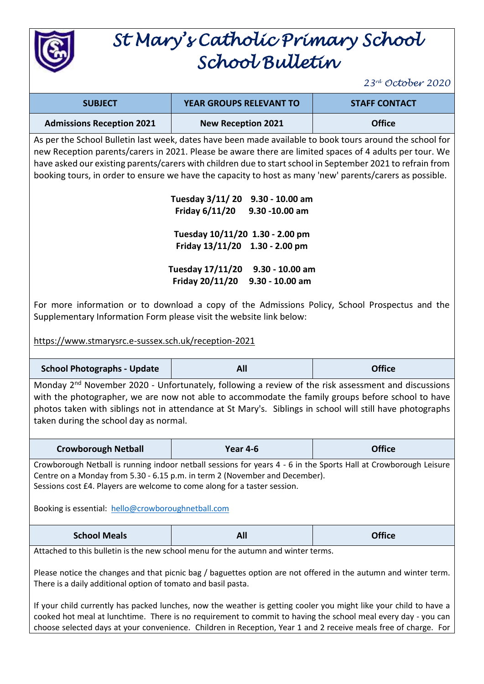

## *St Mary's Catholic Primary School School Bulletin*

*23rd October 2020*

| <b>SUBJECT</b>                   | <b>YEAR GROUPS RELEVANT TO</b> | <b>STAFF CONTACT</b> |
|----------------------------------|--------------------------------|----------------------|
| <b>Admissions Reception 2021</b> | <b>New Reception 2021</b>      | <b>Office</b>        |

As per the School Bulletin last week, dates have been made available to book tours around the school for new Reception parents/carers in 2021. Please be aware there are limited spaces of 4 adults per tour. We have asked our existing parents/carers with children due to start school in September 2021 to refrain from booking tours, in order to ensure we have the capacity to host as many 'new' parents/carers as possible.

| <b>Tuesday 3/11/20</b>          | 9.30 - 10.00 am |
|---------------------------------|-----------------|
| Friday 6/11/20                  | 9.30 -10.00 am  |
| Tuesday 10/11/20 1.30 - 2.00 pm |                 |
|                                 |                 |
| Friday 13/11/20 1.30 - 2.00 pm  |                 |
| Tuesday 17/11/20                | 9.30 - 10.00 am |
| Friday 20/11/20                 | 9.30 - 10.00 am |

For more information or to download a copy of the Admissions Policy, School Prospectus and the Supplementary Information Form please visit the website link below:

<https://www.stmarysrc.e-sussex.sch.uk/reception-2021>

| <b>School Photographs - Update</b>                                                                                                                                                                                                                                                                                                                                                                                                                                                                                                                                                                                             | All      | <b>Office</b> |  |  |  |
|--------------------------------------------------------------------------------------------------------------------------------------------------------------------------------------------------------------------------------------------------------------------------------------------------------------------------------------------------------------------------------------------------------------------------------------------------------------------------------------------------------------------------------------------------------------------------------------------------------------------------------|----------|---------------|--|--|--|
| Monday 2 <sup>nd</sup> November 2020 - Unfortunately, following a review of the risk assessment and discussions<br>with the photographer, we are now not able to accommodate the family groups before school to have<br>photos taken with siblings not in attendance at St Mary's. Siblings in school will still have photographs<br>taken during the school day as normal.                                                                                                                                                                                                                                                    |          |               |  |  |  |
| <b>Crowborough Netball</b>                                                                                                                                                                                                                                                                                                                                                                                                                                                                                                                                                                                                     | Year 4-6 | <b>Office</b> |  |  |  |
| Crowborough Netball is running indoor netball sessions for years 4 - 6 in the Sports Hall at Crowborough Leisure<br>Centre on a Monday from 5.30 - 6.15 p.m. in term 2 (November and December).<br>Sessions cost £4. Players are welcome to come along for a taster session.<br>Booking is essential: hello@crowboroughnetball.com                                                                                                                                                                                                                                                                                             |          |               |  |  |  |
| <b>School Meals</b>                                                                                                                                                                                                                                                                                                                                                                                                                                                                                                                                                                                                            | All      | <b>Office</b> |  |  |  |
| Attached to this bulletin is the new school menu for the autumn and winter terms.<br>Please notice the changes and that picnic bag / baguettes option are not offered in the autumn and winter term.<br>There is a daily additional option of tomato and basil pasta.<br>If your child currently has packed lunches, now the weather is getting cooler you might like your child to have a<br>cooked hot meal at lunchtime. There is no requirement to commit to having the school meal every day - you can<br>choose selected days at your convenience. Children in Reception, Year 1 and 2 receive meals free of charge. For |          |               |  |  |  |